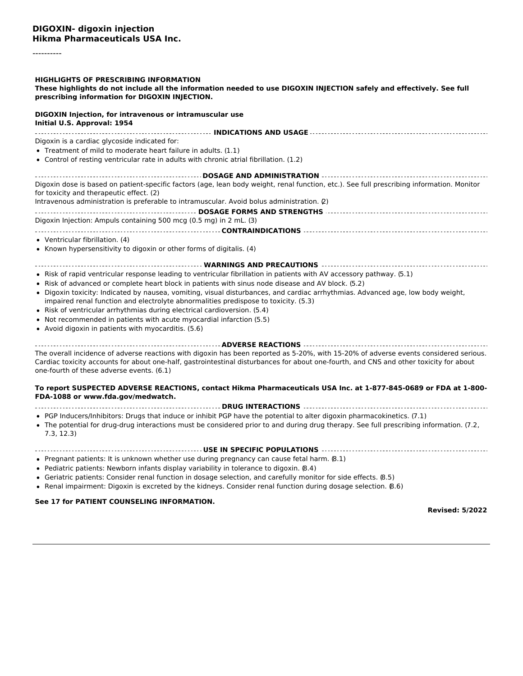----------

#### **HIGHLIGHTS OF PRESCRIBING INFORMATION**

#### These highlights do not include all the information needed to use DIGOXIN INJECTION safely and effectively. See full **prescribing information for DIGOXIN INJECTION.**

#### **DIGOXIN Injection, for intravenous or intramuscular use Initial U.S. Approval: 1954**

**INDICATIONS AND USAGE** Digoxin is a cardiac glycoside indicated for:

#### Treatment of mild to moderate heart failure in adults. (1.1)

Control of resting ventricular rate in adults with chronic atrial fibrillation. (1.2)

**DOSAGE AND ADMINISTRATION** Digoxin dose is based on patient-specific factors (age, lean body weight, renal function, etc.). See full prescribing information. Monitor for toxicity and therapeutic effect. (2)

Intravenous administration is preferable to intramuscular. Avoid bolus administration. (2)

**DOSAGE FORMS AND STRENGTHS** Digoxin Injection: Ampuls containing 500 mcg (0.5 mg) in 2 mL. (3) **CONTRAINDICATIONS**

#### Ventricular fibrillation. (4)

Known hypersensitivity to digoxin or other forms of digitalis. (4)

#### **WARNINGS AND PRECAUTIONS**

- Risk of rapid ventricular response leading to ventricular fibrillation in patients with AV accessory pathway. (5.1)
- Risk of advanced or complete heart block in patients with sinus node disease and AV block. (5.2)
- Digoxin toxicity: Indicated by nausea, vomiting, visual disturbances, and cardiac arrhythmias. Advanced age, low body weight, impaired renal function and electrolyte abnormalities predispose to toxicity. (5.3)
- Risk of ventricular arrhythmias during electrical cardioversion. (5.4)
- Not recommended in patients with acute myocardial infarction (5.5)
- Avoid digoxin in patients with myocarditis. (5.6)

**ADVERSE REACTIONS**

The overall incidence of adverse reactions with digoxin has been reported as 5-20%, with 15-20% of adverse events considered serious. Cardiac toxicity accounts for about one-half, gastrointestinal disturbances for about one-fourth, and CNS and other toxicity for about one-fourth of these adverse events. (6.1)

#### **To report SUSPECTED ADVERSE REACTIONS, contact Hikma Pharmaceuticals USA Inc. at 1-877-845-0689 or FDA at 1-800- FDA-1088 or www.fda.gov/medwatch.**

#### **DRUG INTERACTIONS**

- PGP Inducers/Inhibitors: Drugs that induce or inhibit PGP have the potential to alter digoxin pharmacokinetics. (7.1)
- The potential for drug-drug interactions must be considered prior to and during drug therapy. See full prescribing information. (7.2, 7.3, 12.3)

#### **USE IN SPECIFIC POPULATIONS**

- Pregnant patients: It is unknown whether use during pregnancy can cause fetal harm. (8.1)
- Pediatric patients: Newborn infants display variability in tolerance to digoxin. (8.4)
- Geriatric patients: Consider renal function in dosage selection, and carefully monitor for side effects. (8.5)
- Renal impairment: Digoxin is excreted by the kidneys. Consider renal function during dosage selection. (8.6)

#### **See 17 for PATIENT COUNSELING INFORMATION.**

**Revised: 5/2022**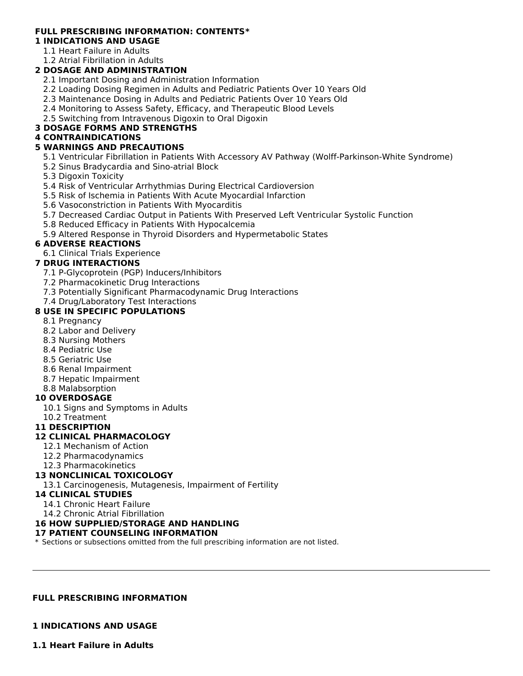# **FULL PRESCRIBING INFORMATION: CONTENTS\***

- **1 INDICATIONS AND USAGE**
	- 1.1 Heart Failure in Adults
	- 1.2 Atrial Fibrillation in Adults

# **2 DOSAGE AND ADMINISTRATION**

- 2.1 Important Dosing and Administration Information
- 2.2 Loading Dosing Regimen in Adults and Pediatric Patients Over 10 Years Old
- 2.3 Maintenance Dosing in Adults and Pediatric Patients Over 10 Years Old
- 2.4 Monitoring to Assess Safety, Efficacy, and Therapeutic Blood Levels
- 2.5 Switching from Intravenous Digoxin to Oral Digoxin

# **3 DOSAGE FORMS AND STRENGTHS**

## **4 CONTRAINDICATIONS**

## **5 WARNINGS AND PRECAUTIONS**

- 5.1 Ventricular Fibrillation in Patients With Accessory AV Pathway (Wolff-Parkinson-White Syndrome)
- 5.2 Sinus Bradycardia and Sino-atrial Block
- 5.3 Digoxin Toxicity
- 5.4 Risk of Ventricular Arrhythmias During Electrical Cardioversion
- 5.5 Risk of Ischemia in Patients With Acute Myocardial Infarction
- 5.6 Vasoconstriction in Patients With Myocarditis
- 5.7 Decreased Cardiac Output in Patients With Preserved Left Ventricular Systolic Function
- 5.8 Reduced Efficacy in Patients With Hypocalcemia
- 5.9 Altered Response in Thyroid Disorders and Hypermetabolic States

# **6 ADVERSE REACTIONS**

6.1 Clinical Trials Experience

## **7 DRUG INTERACTIONS**

- 7.1 P-Glycoprotein (PGP) Inducers/Inhibitors
- 7.2 Pharmacokinetic Drug Interactions
- 7.3 Potentially Significant Pharmacodynamic Drug Interactions
- 7.4 Drug/Laboratory Test Interactions

## **8 USE IN SPECIFIC POPULATIONS**

- 8.1 Pregnancy
- 8.2 Labor and Delivery
- 8.3 Nursing Mothers
- 8.4 Pediatric Use
- 8.5 Geriatric Use
- 8.6 Renal Impairment
- 8.7 Hepatic Impairment
- 8.8 Malabsorption

# **10 OVERDOSAGE**

- 10.1 Signs and Symptoms in Adults
- 10.2 Treatment
- **11 DESCRIPTION**

## **12 CLINICAL PHARMACOLOGY**

- 12.1 Mechanism of Action
- 12.2 Pharmacodynamics
- 12.3 Pharmacokinetics

## **13 NONCLINICAL TOXICOLOGY**

13.1 Carcinogenesis, Mutagenesis, Impairment of Fertility

## **14 CLINICAL STUDIES**

- 14.1 Chronic Heart Failure
- 14.2 Chronic Atrial Fibrillation

## **16 HOW SUPPLIED/STORAGE AND HANDLING**

## **17 PATIENT COUNSELING INFORMATION**

\* Sections or subsections omitted from the full prescribing information are not listed.

## **FULL PRESCRIBING INFORMATION**

# **1 INDICATIONS AND USAGE**

**1.1 Heart Failure in Adults**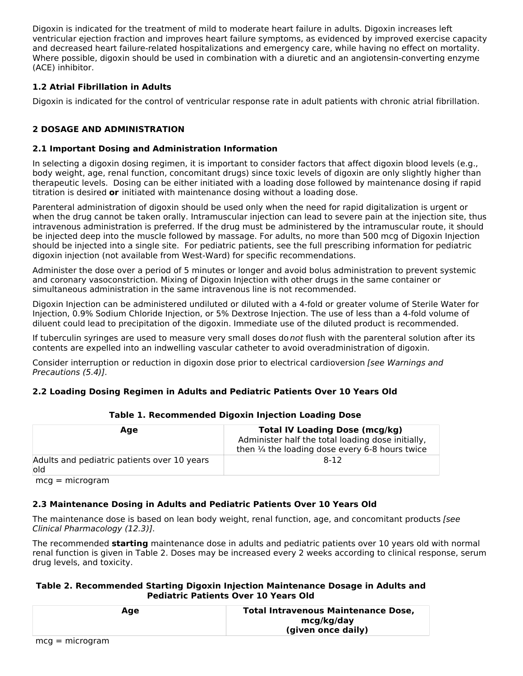Digoxin is indicated for the treatment of mild to moderate heart failure in adults. Digoxin increases left ventricular ejection fraction and improves heart failure symptoms, as evidenced by improved exercise capacity and decreased heart failure-related hospitalizations and emergency care, while having no effect on mortality. Where possible, digoxin should be used in combination with a diuretic and an angiotensin-converting enzyme (ACE) inhibitor.

# **1.2 Atrial Fibrillation in Adults**

Digoxin is indicated for the control of ventricular response rate in adult patients with chronic atrial fibrillation.

# **2 DOSAGE AND ADMINISTRATION**

## **2.1 Important Dosing and Administration Information**

In selecting a digoxin dosing regimen, it is important to consider factors that affect digoxin blood levels (e.g., body weight, age, renal function, concomitant drugs) since toxic levels of digoxin are only slightly higher than therapeutic levels. Dosing can be either initiated with a loading dose followed by maintenance dosing if rapid titration is desired **or** initiated with maintenance dosing without a loading dose.

Parenteral administration of digoxin should be used only when the need for rapid digitalization is urgent or when the drug cannot be taken orally. Intramuscular injection can lead to severe pain at the injection site, thus intravenous administration is preferred. If the drug must be administered by the intramuscular route, it should be injected deep into the muscle followed by massage. For adults, no more than 500 mcg of Digoxin Injection should be injected into a single site. For pediatric patients, see the full prescribing information for pediatric digoxin injection (not available from West-Ward) for specific recommendations.

Administer the dose over a period of 5 minutes or longer and avoid bolus administration to prevent systemic and coronary vasoconstriction. Mixing of Digoxin Injection with other drugs in the same container or simultaneous administration in the same intravenous line is not recommended.

Digoxin Injection can be administered undiluted or diluted with a 4-fold or greater volume of Sterile Water for Injection, 0.9% Sodium Chloride Injection, or 5% Dextrose Injection. The use of less than a 4-fold volume of diluent could lead to precipitation of the digoxin. Immediate use of the diluted product is recommended.

If tuberculin syringes are used to measure very small doses do not flush with the parenteral solution after its contents are expelled into an indwelling vascular catheter to avoid overadministration of digoxin.

Consider interruption or reduction in digoxin dose prior to electrical cardioversion [see Warnings and Precautions (5.4)].

# **2.2 Loading Dosing Regimen in Adults and Pediatric Patients Over 10 Years Old**

| Age                                                 | <b>Total IV Loading Dose (mcg/kg)</b><br>Administer half the total loading dose initially,<br>then $\frac{1}{4}$ the loading dose every 6-8 hours twice |
|-----------------------------------------------------|---------------------------------------------------------------------------------------------------------------------------------------------------------|
| Adults and pediatric patients over 10 years<br>lold | 8-12                                                                                                                                                    |

## **Table 1. Recommended Digoxin Injection Loading Dose**

mcg = microgram

# **2.3 Maintenance Dosing in Adults and Pediatric Patients Over 10 Years Old**

The maintenance dose is based on lean body weight, renal function, age, and concomitant products (see Clinical Pharmacology (12.3)].

The recommended **starting** maintenance dose in adults and pediatric patients over 10 years old with normal renal function is given in Table 2. Doses may be increased every 2 weeks according to clinical response, serum drug levels, and toxicity.

## **Table 2. Recommended Starting Digoxin Injection Maintenance Dosage in Adults and Pediatric Patients Over 10 Years Old**

| Age | <b>Total Intravenous Maintenance Dose,</b> |
|-----|--------------------------------------------|
|     | mcg/kg/day                                 |
|     | (given once daily)                         |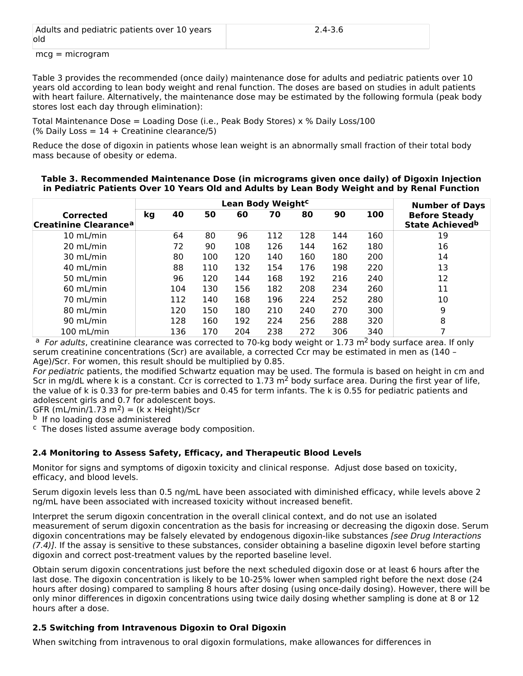| Adults and pediatric patients over 10 years | $2.4 - 3.6$ |
|---------------------------------------------|-------------|
| lold                                        |             |

mcg = microgram

Table 3 provides the recommended (once daily) maintenance dose for adults and pediatric patients over 10 years old according to lean body weight and renal function. The doses are based on studies in adult patients with heart failure. Alternatively, the maintenance dose may be estimated by the following formula (peak body stores lost each day through elimination):

Total Maintenance Dose = Loading Dose (i.e., Peak Body Stores) x % Daily Loss/100 (% Daily Loss =  $14 +$  Creatinine clearance/5)

Reduce the dose of digoxin in patients whose lean weight is an abnormally small fraction of their total body mass because of obesity or edema.

|                                                | Lean Body Weight <sup>c</sup> |     |     |     |     |     | <b>Number of Days</b> |     |                                                 |
|------------------------------------------------|-------------------------------|-----|-----|-----|-----|-----|-----------------------|-----|-------------------------------------------------|
| Corrected<br>Creatinine Clearance <sup>a</sup> | kg                            | 40  | 50  | 60  | 70  | 80  | 90                    | 100 | <b>Before Steady</b><br><b>State Achieved</b> b |
| 10 mL/min                                      |                               | 64  | 80  | 96  | 112 | 128 | 144                   | 160 | 19                                              |
| 20 mL/min                                      |                               | 72  | 90  | 108 | 126 | 144 | 162                   | 180 | 16                                              |
| 30 mL/min                                      |                               | 80  | 100 | 120 | 140 | 160 | 180                   | 200 | 14                                              |
| 40 mL/min                                      |                               | 88  | 110 | 132 | 154 | 176 | 198                   | 220 | 13                                              |
| 50 mL/min                                      |                               | 96  | 120 | 144 | 168 | 192 | 216                   | 240 | 12                                              |
| $60$ mL/min                                    |                               | 104 | 130 | 156 | 182 | 208 | 234                   | 260 | 11                                              |
| 70 mL/min                                      |                               | 112 | 140 | 168 | 196 | 224 | 252                   | 280 | 10                                              |
| 80 mL/min                                      |                               | 120 | 150 | 180 | 210 | 240 | 270                   | 300 | 9                                               |
| 90 mL/min                                      |                               | 128 | 160 | 192 | 224 | 256 | 288                   | 320 | 8                                               |
| 100 mL/min                                     |                               | 136 | 170 | 204 | 238 | 272 | 306                   | 340 |                                                 |

**Table 3. Recommended Maintenance Dose (in micrograms given once daily) of Digoxin Injection in Pediatric Patients Over 10 Years Old and Adults by Lean Body Weight and by Renal Function**

<sup>a</sup> For adults, creatinine clearance was corrected to 70-kg body weight or 1.73 m<sup>2</sup> body surface area. If only serum creatinine concentrations (Scr) are available, a corrected Ccr may be estimated in men as (140 – Age)/Scr. For women, this result should be multiplied by 0.85.

For pediatric patients, the modified Schwartz equation may be used. The formula is based on height in cm and Scr in mg/dL where k is a constant. Ccr is corrected to 1.73 m<sup>2</sup> body surface area. During the first year of life, the value of k is 0.33 for pre-term babies and 0.45 for term infants. The k is 0.55 for pediatric patients and adolescent girls and 0.7 for adolescent boys.

GFR (mL/min/1.73 m<sup>2</sup>) = (k x Height)/Scr

**b** If no loading dose administered

 $c$  The doses listed assume average body composition.

## **2.4 Monitoring to Assess Safety, Efficacy, and Therapeutic Blood Levels**

Monitor for signs and symptoms of digoxin toxicity and clinical response. Adjust dose based on toxicity, efficacy, and blood levels.

Serum digoxin levels less than 0.5 ng/mL have been associated with diminished efficacy, while levels above 2 ng/mL have been associated with increased toxicity without increased benefit.

Interpret the serum digoxin concentration in the overall clinical context, and do not use an isolated measurement of serum digoxin concentration as the basis for increasing or decreasing the digoxin dose. Serum digoxin concentrations may be falsely elevated by endogenous digoxin-like substances [see Drug Interactions (7.4)]. If the assay is sensitive to these substances, consider obtaining a baseline digoxin level before starting digoxin and correct post-treatment values by the reported baseline level.

Obtain serum digoxin concentrations just before the next scheduled digoxin dose or at least 6 hours after the last dose. The digoxin concentration is likely to be 10-25% lower when sampled right before the next dose (24 hours after dosing) compared to sampling 8 hours after dosing (using once-daily dosing). However, there will be only minor differences in digoxin concentrations using twice daily dosing whether sampling is done at 8 or 12 hours after a dose.

# **2.5 Switching from Intravenous Digoxin to Oral Digoxin**

When switching from intravenous to oral digoxin formulations, make allowances for differences in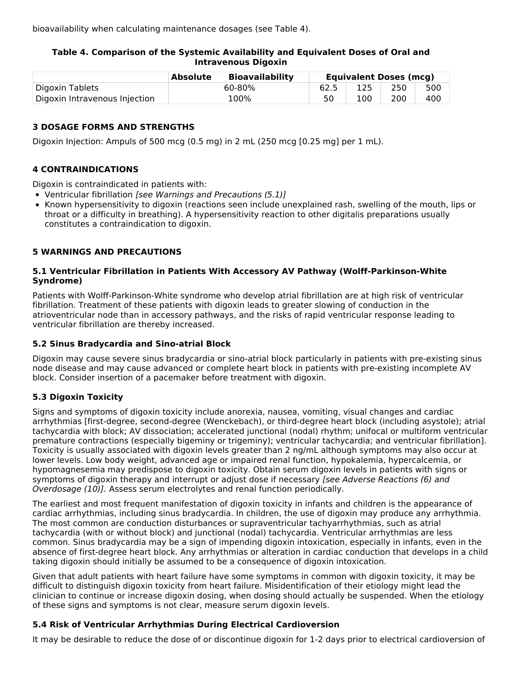bioavailability when calculating maintenance dosages (see Table 4).

## **Table 4. Comparison of the Systemic Availability and Equivalent Doses of Oral and Intravenous Digoxin**

|                               | <b>Absolute</b> | <b>Bioavailability</b> |     | <b>Equivalent Doses (mcg)</b> |     |
|-------------------------------|-----------------|------------------------|-----|-------------------------------|-----|
| Digoxin Tablets               |                 | 60-80%                 | 125 | 250                           | 500 |
| Digoxin Intravenous Injection |                 | 100%                   | 100 | 200                           | 400 |

## **3 DOSAGE FORMS AND STRENGTHS**

Digoxin Injection: Ampuls of 500 mcg (0.5 mg) in 2 mL (250 mcg [0.25 mg] per 1 mL).

# **4 CONTRAINDICATIONS**

Digoxin is contraindicated in patients with:

- Ventricular fibrillation [see Warnings and Precautions (5.1)]
- Known hypersensitivity to digoxin (reactions seen include unexplained rash, swelling of the mouth, lips or throat or a difficulty in breathing). A hypersensitivity reaction to other digitalis preparations usually constitutes a contraindication to digoxin.

## **5 WARNINGS AND PRECAUTIONS**

## **5.1 Ventricular Fibrillation in Patients With Accessory AV Pathway (Wolff-Parkinson-White Syndrome)**

Patients with Wolff-Parkinson-White syndrome who develop atrial fibrillation are at high risk of ventricular fibrillation. Treatment of these patients with digoxin leads to greater slowing of conduction in the atrioventricular node than in accessory pathways, and the risks of rapid ventricular response leading to ventricular fibrillation are thereby increased.

## **5.2 Sinus Bradycardia and Sino-atrial Block**

Digoxin may cause severe sinus bradycardia or sino-atrial block particularly in patients with pre-existing sinus node disease and may cause advanced or complete heart block in patients with pre-existing incomplete AV block. Consider insertion of a pacemaker before treatment with digoxin.

# **5.3 Digoxin Toxicity**

Signs and symptoms of digoxin toxicity include anorexia, nausea, vomiting, visual changes and cardiac arrhythmias [first-degree, second-degree (Wenckebach), or third-degree heart block (including asystole); atrial tachycardia with block; AV dissociation; accelerated junctional (nodal) rhythm; unifocal or multiform ventricular premature contractions (especially bigeminy or trigeminy); ventricular tachycardia; and ventricular fibrillation]. Toxicity is usually associated with digoxin levels greater than 2 ng/mL although symptoms may also occur at lower levels. Low body weight, advanced age or impaired renal function, hypokalemia, hypercalcemia, or hypomagnesemia may predispose to digoxin toxicity. Obtain serum digoxin levels in patients with signs or symptoms of digoxin therapy and interrupt or adjust dose if necessary [see Adverse Reactions (6) and Overdosage (10)]. Assess serum electrolytes and renal function periodically.

The earliest and most frequent manifestation of digoxin toxicity in infants and children is the appearance of cardiac arrhythmias, including sinus bradycardia. In children, the use of digoxin may produce any arrhythmia. The most common are conduction disturbances or supraventricular tachyarrhythmias, such as atrial tachycardia (with or without block) and junctional (nodal) tachycardia. Ventricular arrhythmias are less common. Sinus bradycardia may be a sign of impending digoxin intoxication, especially in infants, even in the absence of first-degree heart block. Any arrhythmias or alteration in cardiac conduction that develops in a child taking digoxin should initially be assumed to be a consequence of digoxin intoxication.

Given that adult patients with heart failure have some symptoms in common with digoxin toxicity, it may be difficult to distinguish digoxin toxicity from heart failure. Misidentification of their etiology might lead the clinician to continue or increase digoxin dosing, when dosing should actually be suspended. When the etiology of these signs and symptoms is not clear, measure serum digoxin levels.

# **5.4 Risk of Ventricular Arrhythmias During Electrical Cardioversion**

It may be desirable to reduce the dose of or discontinue digoxin for 1-2 days prior to electrical cardioversion of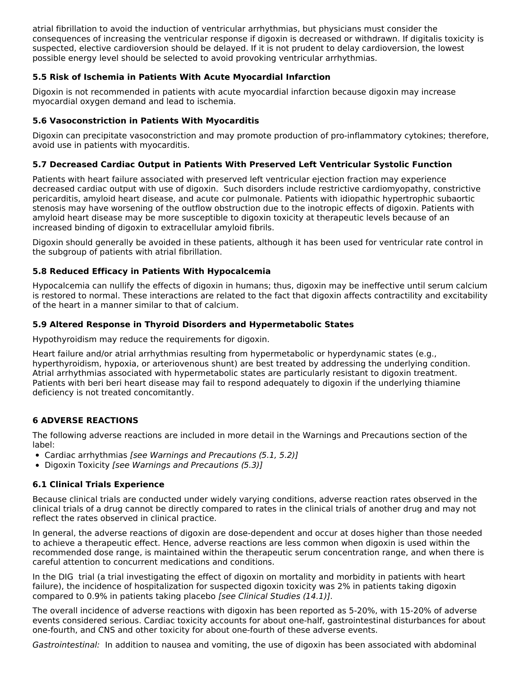atrial fibrillation to avoid the induction of ventricular arrhythmias, but physicians must consider the consequences of increasing the ventricular response if digoxin is decreased or withdrawn. If digitalis toxicity is suspected, elective cardioversion should be delayed. If it is not prudent to delay cardioversion, the lowest possible energy level should be selected to avoid provoking ventricular arrhythmias.

## **5.5 Risk of Ischemia in Patients With Acute Myocardial Infarction**

Digoxin is not recommended in patients with acute myocardial infarction because digoxin may increase myocardial oxygen demand and lead to ischemia.

## **5.6 Vasoconstriction in Patients With Myocarditis**

Digoxin can precipitate vasoconstriction and may promote production of pro-inflammatory cytokines; therefore, avoid use in patients with myocarditis.

## **5.7 Decreased Cardiac Output in Patients With Preserved Left Ventricular Systolic Function**

Patients with heart failure associated with preserved left ventricular ejection fraction may experience decreased cardiac output with use of digoxin. Such disorders include restrictive cardiomyopathy, constrictive pericarditis, amyloid heart disease, and acute cor pulmonale. Patients with idiopathic hypertrophic subaortic stenosis may have worsening of the outflow obstruction due to the inotropic effects of digoxin. Patients with amyloid heart disease may be more susceptible to digoxin toxicity at therapeutic levels because of an increased binding of digoxin to extracellular amyloid fibrils.

Digoxin should generally be avoided in these patients, although it has been used for ventricular rate control in the subgroup of patients with atrial fibrillation.

## **5.8 Reduced Efficacy in Patients With Hypocalcemia**

Hypocalcemia can nullify the effects of digoxin in humans; thus, digoxin may be ineffective until serum calcium is restored to normal. These interactions are related to the fact that digoxin affects contractility and excitability of the heart in a manner similar to that of calcium.

## **5.9 Altered Response in Thyroid Disorders and Hypermetabolic States**

Hypothyroidism may reduce the requirements for digoxin.

Heart failure and/or atrial arrhythmias resulting from hypermetabolic or hyperdynamic states (e.g., hyperthyroidism, hypoxia, or arteriovenous shunt) are best treated by addressing the underlying condition. Atrial arrhythmias associated with hypermetabolic states are particularly resistant to digoxin treatment. Patients with beri beri heart disease may fail to respond adequately to digoxin if the underlying thiamine deficiency is not treated concomitantly.

## **6 ADVERSE REACTIONS**

The following adverse reactions are included in more detail in the Warnings and Precautions section of the label:

- Cardiac arrhythmias [see Warnings and Precautions (5.1, 5.2)]
- Digoxin Toxicity [see Warnings and Precautions (5.3)]

# **6.1 Clinical Trials Experience**

Because clinical trials are conducted under widely varying conditions, adverse reaction rates observed in the clinical trials of a drug cannot be directly compared to rates in the clinical trials of another drug and may not reflect the rates observed in clinical practice.

In general, the adverse reactions of digoxin are dose-dependent and occur at doses higher than those needed to achieve a therapeutic effect. Hence, adverse reactions are less common when digoxin is used within the recommended dose range, is maintained within the therapeutic serum concentration range, and when there is careful attention to concurrent medications and conditions.

In the DIG trial (a trial investigating the effect of digoxin on mortality and morbidity in patients with heart failure), the incidence of hospitalization for suspected digoxin toxicity was 2% in patients taking digoxin compared to 0.9% in patients taking placebo [see Clinical Studies (14.1)].

The overall incidence of adverse reactions with digoxin has been reported as 5-20%, with 15-20% of adverse events considered serious. Cardiac toxicity accounts for about one-half, gastrointestinal disturbances for about one-fourth, and CNS and other toxicity for about one-fourth of these adverse events.

Gastrointestinal: In addition to nausea and vomiting, the use of digoxin has been associated with abdominal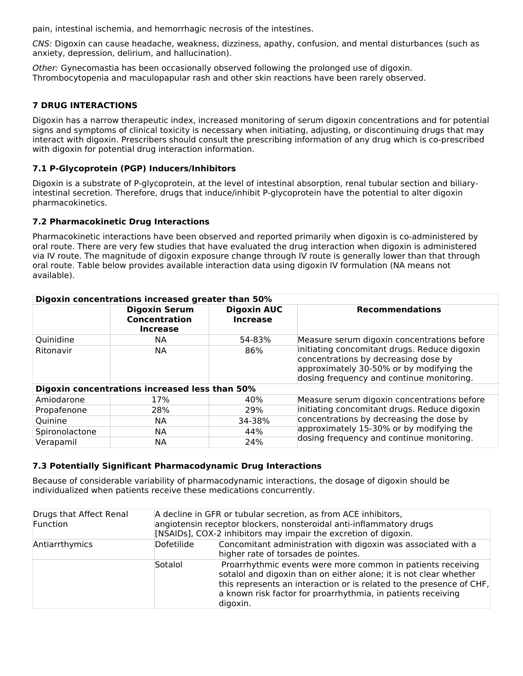pain, intestinal ischemia, and hemorrhagic necrosis of the intestines.

CNS: Digoxin can cause headache, weakness, dizziness, apathy, confusion, and mental disturbances (such as anxiety, depression, delirium, and hallucination).

Other: Gynecomastia has been occasionally observed following the prolonged use of digoxin. Thrombocytopenia and maculopapular rash and other skin reactions have been rarely observed.

## **7 DRUG INTERACTIONS**

Digoxin has a narrow therapeutic index, increased monitoring of serum digoxin concentrations and for potential signs and symptoms of clinical toxicity is necessary when initiating, adjusting, or discontinuing drugs that may interact with digoxin. Prescribers should consult the prescribing information of any drug which is co-prescribed with digoxin for potential drug interaction information.

## **7.1 P-Glycoprotein (PGP) Inducers/Inhibitors**

Digoxin is a substrate of P-glycoprotein, at the level of intestinal absorption, renal tubular section and biliaryintestinal secretion. Therefore, drugs that induce/inhibit P-glycoprotein have the potential to alter digoxin pharmacokinetics.

#### **7.2 Pharmacokinetic Drug Interactions**

Pharmacokinetic interactions have been observed and reported primarily when digoxin is co-administered by oral route. There are very few studies that have evaluated the drug interaction when digoxin is administered via IV route. The magnitude of digoxin exposure change through IV route is generally lower than that through oral route. Table below provides available interaction data using digoxin IV formulation (NA means not available).

| Digoxin concentrations increased greater than 50% |                                                                 |                                       |                                                                                                                                                                               |  |  |  |  |
|---------------------------------------------------|-----------------------------------------------------------------|---------------------------------------|-------------------------------------------------------------------------------------------------------------------------------------------------------------------------------|--|--|--|--|
|                                                   | <b>Digoxin Serum</b><br><b>Concentration</b><br><b>Increase</b> | <b>Digoxin AUC</b><br><b>Increase</b> | <b>Recommendations</b>                                                                                                                                                        |  |  |  |  |
| Quinidine                                         | NА                                                              | 54-83%                                | Measure serum digoxin concentrations before                                                                                                                                   |  |  |  |  |
| Ritonavir                                         | <b>NA</b>                                                       | 86%                                   | initiating concomitant drugs. Reduce digoxin<br>concentrations by decreasing dose by<br>approximately 30-50% or by modifying the<br>dosing frequency and continue monitoring. |  |  |  |  |
|                                                   | Digoxin concentrations increased less than 50%                  |                                       |                                                                                                                                                                               |  |  |  |  |
| Amiodarone                                        | 17%                                                             | 40%                                   | Measure serum digoxin concentrations before                                                                                                                                   |  |  |  |  |
| Propafenone                                       | 28%                                                             | 29%                                   | initiating concomitant drugs. Reduce digoxin                                                                                                                                  |  |  |  |  |
| Quinine                                           | NА                                                              | 34-38%                                | concentrations by decreasing the dose by                                                                                                                                      |  |  |  |  |
| Spironolactone                                    | NА                                                              | 44%                                   | approximately 15-30% or by modifying the                                                                                                                                      |  |  |  |  |
| Verapamil                                         | <b>NA</b>                                                       | 24%                                   | dosing frequency and continue monitoring.                                                                                                                                     |  |  |  |  |

#### **7.3 Potentially Significant Pharmacodynamic Drug Interactions**

Because of considerable variability of pharmacodynamic interactions, the dosage of digoxin should be individualized when patients receive these medications concurrently.

| Drugs that Affect Renal<br>Function | A decline in GFR or tubular secretion, as from ACE inhibitors,<br>angiotensin receptor blockers, nonsteroidal anti-inflammatory drugs<br>[NSAIDs], COX-2 inhibitors may impair the excretion of digoxin. |                                                                                                                                                                                                                                                                                      |  |  |
|-------------------------------------|----------------------------------------------------------------------------------------------------------------------------------------------------------------------------------------------------------|--------------------------------------------------------------------------------------------------------------------------------------------------------------------------------------------------------------------------------------------------------------------------------------|--|--|
| Antiarrthymics                      | Dofetilide                                                                                                                                                                                               | Concomitant administration with digoxin was associated with a<br>higher rate of torsades de pointes.                                                                                                                                                                                 |  |  |
|                                     | Sotalol                                                                                                                                                                                                  | Proarrhythmic events were more common in patients receiving<br>sotalol and digoxin than on either alone; it is not clear whether<br>this represents an interaction or is related to the presence of CHF,<br>a known risk factor for proarrhythmia, in patients receiving<br>digoxin. |  |  |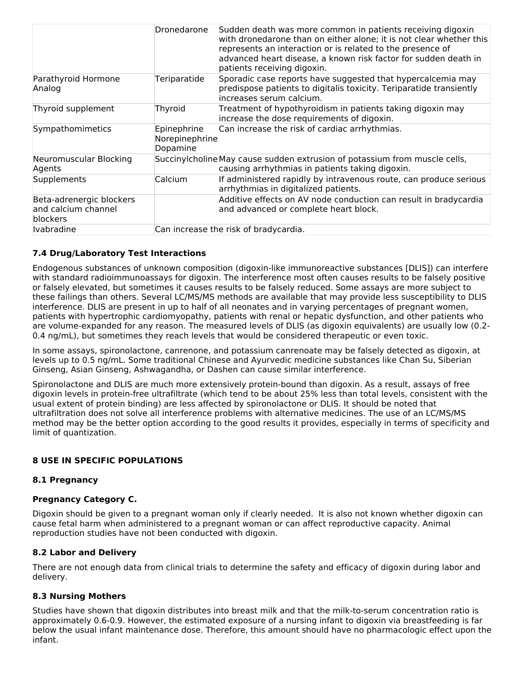|                                                             | Dronedarone                               | Sudden death was more common in patients receiving digoxin<br>with dronedarone than on either alone; it is not clear whether this<br>represents an interaction or is related to the presence of<br>advanced heart disease, a known risk factor for sudden death in<br>patients receiving digoxin. |
|-------------------------------------------------------------|-------------------------------------------|---------------------------------------------------------------------------------------------------------------------------------------------------------------------------------------------------------------------------------------------------------------------------------------------------|
| Parathyroid Hormone<br>Analog                               | Teriparatide                              | Sporadic case reports have suggested that hypercalcemia may<br>predispose patients to digitalis toxicity. Teriparatide transiently<br>increases serum calcium.                                                                                                                                    |
| Thyroid supplement                                          | Thyroid                                   | Treatment of hypothyroidism in patients taking digoxin may<br>increase the dose requirements of digoxin.                                                                                                                                                                                          |
| Sympathomimetics                                            | Epinephrine<br>Norepinephrine<br>Dopamine | Can increase the risk of cardiac arrhythmias.                                                                                                                                                                                                                                                     |
| Neuromuscular Blocking<br>Agents                            |                                           | Succinylcholine May cause sudden extrusion of potassium from muscle cells,<br>causing arrhythmias in patients taking digoxin.                                                                                                                                                                     |
| <b>Supplements</b>                                          | Calcium                                   | If administered rapidly by intravenous route, can produce serious<br>arrhythmias in digitalized patients.                                                                                                                                                                                         |
| Beta-adrenergic blockers<br>and calcium channel<br>blockers |                                           | Additive effects on AV node conduction can result in bradycardia<br>and advanced or complete heart block.                                                                                                                                                                                         |
| <b>Ivabradine</b>                                           |                                           | Can increase the risk of bradycardia.                                                                                                                                                                                                                                                             |

## **7.4 Drug/Laboratory Test Interactions**

Endogenous substances of unknown composition (digoxin-like immunoreactive substances [DLIS]) can interfere with standard radioimmunoassays for digoxin. The interference most often causes results to be falsely positive or falsely elevated, but sometimes it causes results to be falsely reduced. Some assays are more subject to these failings than others. Several LC/MS/MS methods are available that may provide less susceptibility to DLIS interference. DLIS are present in up to half of all neonates and in varying percentages of pregnant women, patients with hypertrophic cardiomyopathy, patients with renal or hepatic dysfunction, and other patients who are volume-expanded for any reason. The measured levels of DLIS (as digoxin equivalents) are usually low (0.2- 0.4 ng/mL), but sometimes they reach levels that would be considered therapeutic or even toxic.

In some assays, spironolactone, canrenone, and potassium canrenoate may be falsely detected as digoxin, at levels up to 0.5 ng/mL. Some traditional Chinese and Ayurvedic medicine substances like Chan Su, Siberian Ginseng, Asian Ginseng, Ashwagandha, or Dashen can cause similar interference.

Spironolactone and DLIS are much more extensively protein-bound than digoxin. As a result, assays of free digoxin levels in protein-free ultrafiltrate (which tend to be about 25% less than total levels, consistent with the usual extent of protein binding) are less affected by spironolactone or DLIS. It should be noted that ultrafiltration does not solve all interference problems with alternative medicines. The use of an LC/MS/MS method may be the better option according to the good results it provides, especially in terms of specificity and limit of quantization.

## **8 USE IN SPECIFIC POPULATIONS**

## **8.1 Pregnancy**

## **Pregnancy Category C.**

Digoxin should be given to a pregnant woman only if clearly needed. It is also not known whether digoxin can cause fetal harm when administered to a pregnant woman or can affect reproductive capacity. Animal reproduction studies have not been conducted with digoxin.

#### **8.2 Labor and Delivery**

There are not enough data from clinical trials to determine the safety and efficacy of digoxin during labor and delivery.

## **8.3 Nursing Mothers**

Studies have shown that digoxin distributes into breast milk and that the milk-to-serum concentration ratio is approximately 0.6-0.9. However, the estimated exposure of a nursing infant to digoxin via breastfeeding is far below the usual infant maintenance dose. Therefore, this amount should have no pharmacologic effect upon the infant.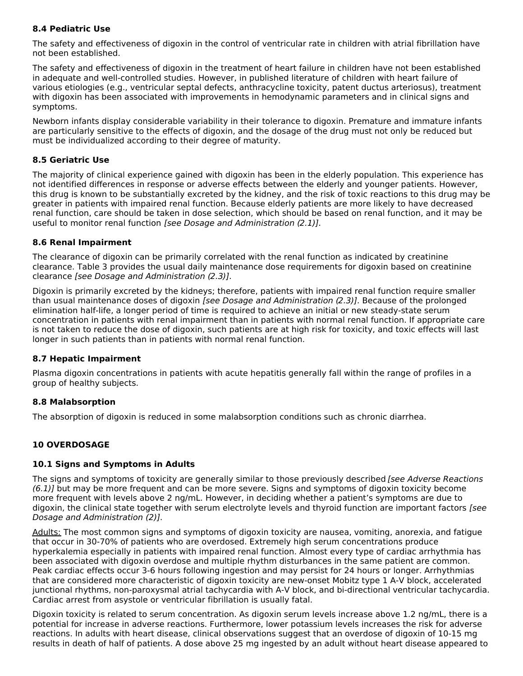## **8.4 Pediatric Use**

The safety and effectiveness of digoxin in the control of ventricular rate in children with atrial fibrillation have not been established.

The safety and effectiveness of digoxin in the treatment of heart failure in children have not been established in adequate and well-controlled studies. However, in published literature of children with heart failure of various etiologies (e.g., ventricular septal defects, anthracycline toxicity, patent ductus arteriosus), treatment with digoxin has been associated with improvements in hemodynamic parameters and in clinical signs and symptoms.

Newborn infants display considerable variability in their tolerance to digoxin. Premature and immature infants are particularly sensitive to the effects of digoxin, and the dosage of the drug must not only be reduced but must be individualized according to their degree of maturity.

## **8.5 Geriatric Use**

The majority of clinical experience gained with digoxin has been in the elderly population. This experience has not identified differences in response or adverse effects between the elderly and younger patients. However, this drug is known to be substantially excreted by the kidney, and the risk of toxic reactions to this drug may be greater in patients with impaired renal function. Because elderly patients are more likely to have decreased renal function, care should be taken in dose selection, which should be based on renal function, and it may be useful to monitor renal function [see Dosage and Administration (2.1)].

## **8.6 Renal Impairment**

The clearance of digoxin can be primarily correlated with the renal function as indicated by creatinine clearance. Table 3 provides the usual daily maintenance dose requirements for digoxin based on creatinine clearance [see Dosage and Administration (2.3)].

Digoxin is primarily excreted by the kidneys; therefore, patients with impaired renal function require smaller than usual maintenance doses of digoxin [see Dosage and Administration (2.3)]. Because of the prolonged elimination half-life, a longer period of time is required to achieve an initial or new steady-state serum concentration in patients with renal impairment than in patients with normal renal function. If appropriate care is not taken to reduce the dose of digoxin, such patients are at high risk for toxicity, and toxic effects will last longer in such patients than in patients with normal renal function.

## **8.7 Hepatic Impairment**

Plasma digoxin concentrations in patients with acute hepatitis generally fall within the range of profiles in a group of healthy subjects.

# **8.8 Malabsorption**

The absorption of digoxin is reduced in some malabsorption conditions such as chronic diarrhea.

# **10 OVERDOSAGE**

## **10.1 Signs and Symptoms in Adults**

The signs and symptoms of toxicity are generally similar to those previously described [see Adverse Reactions  $(6.1)$ ] but may be more frequent and can be more severe. Signs and symptoms of digoxin toxicity become more frequent with levels above 2 ng/mL. However, in deciding whether a patient's symptoms are due to digoxin, the clinical state together with serum electrolyte levels and thyroid function are important factors [see Dosage and Administration (2)].

Adults: The most common signs and symptoms of digoxin toxicity are nausea, vomiting, anorexia, and fatigue that occur in 30-70% of patients who are overdosed. Extremely high serum concentrations produce hyperkalemia especially in patients with impaired renal function. Almost every type of cardiac arrhythmia has been associated with digoxin overdose and multiple rhythm disturbances in the same patient are common. Peak cardiac effects occur 3-6 hours following ingestion and may persist for 24 hours or longer. Arrhythmias that are considered more characteristic of digoxin toxicity are new-onset Mobitz type 1 A-V block, accelerated junctional rhythms, non-paroxysmal atrial tachycardia with A-V block, and bi-directional ventricular tachycardia. Cardiac arrest from asystole or ventricular fibrillation is usually fatal.

Digoxin toxicity is related to serum concentration. As digoxin serum levels increase above 1.2 ng/mL, there is a potential for increase in adverse reactions. Furthermore, lower potassium levels increases the risk for adverse reactions. In adults with heart disease, clinical observations suggest that an overdose of digoxin of 10-15 mg results in death of half of patients. A dose above 25 mg ingested by an adult without heart disease appeared to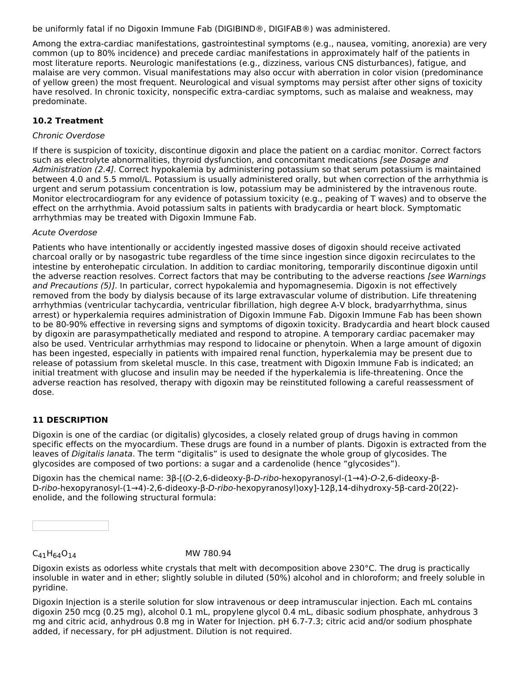be uniformly fatal if no Digoxin Immune Fab (DIGIBIND®, DIGIFAB®) was administered.

Among the extra-cardiac manifestations, gastrointestinal symptoms (e.g., nausea, vomiting, anorexia) are very common (up to 80% incidence) and precede cardiac manifestations in approximately half of the patients in most literature reports. Neurologic manifestations (e.g., dizziness, various CNS disturbances), fatigue, and malaise are very common. Visual manifestations may also occur with aberration in color vision (predominance of yellow green) the most frequent. Neurological and visual symptoms may persist after other signs of toxicity have resolved. In chronic toxicity, nonspecific extra-cardiac symptoms, such as malaise and weakness, may predominate.

## **10.2 Treatment**

#### Chronic Overdose

If there is suspicion of toxicity, discontinue digoxin and place the patient on a cardiac monitor. Correct factors such as electrolyte abnormalities, thyroid dysfunction, and concomitant medications [see Dosage and Administration (2.4]. Correct hypokalemia by administering potassium so that serum potassium is maintained between 4.0 and 5.5 mmol/L. Potassium is usually administered orally, but when correction of the arrhythmia is urgent and serum potassium concentration is low, potassium may be administered by the intravenous route. Monitor electrocardiogram for any evidence of potassium toxicity (e.g., peaking of T waves) and to observe the effect on the arrhythmia. Avoid potassium salts in patients with bradycardia or heart block. Symptomatic arrhythmias may be treated with Digoxin Immune Fab.

#### Acute Overdose

Patients who have intentionally or accidently ingested massive doses of digoxin should receive activated charcoal orally or by nasogastric tube regardless of the time since ingestion since digoxin recirculates to the intestine by enterohepatic circulation. In addition to cardiac monitoring, temporarily discontinue digoxin until the adverse reaction resolves. Correct factors that may be contributing to the adverse reactions [see Warnings and Precautions (5)]. In particular, correct hypokalemia and hypomagnesemia. Digoxin is not effectively removed from the body by dialysis because of its large extravascular volume of distribution. Life threatening arrhythmias (ventricular tachycardia, ventricular fibrillation, high degree A-V block, bradyarrhythma, sinus arrest) or hyperkalemia requires administration of Digoxin Immune Fab. Digoxin Immune Fab has been shown to be 80-90% effective in reversing signs and symptoms of digoxin toxicity. Bradycardia and heart block caused by digoxin are parasympathetically mediated and respond to atropine. A temporary cardiac pacemaker may also be used. Ventricular arrhythmias may respond to lidocaine or phenytoin. When a large amount of digoxin has been ingested, especially in patients with impaired renal function, hyperkalemia may be present due to release of potassium from skeletal muscle. In this case, treatment with Digoxin Immune Fab is indicated; an initial treatment with glucose and insulin may be needed if the hyperkalemia is life-threatening. Once the adverse reaction has resolved, therapy with digoxin may be reinstituted following a careful reassessment of dose.

## **11 DESCRIPTION**

Digoxin is one of the cardiac (or digitalis) glycosides, a closely related group of drugs having in common specific effects on the myocardium. These drugs are found in a number of plants. Digoxin is extracted from the leaves of Digitalis lanata. The term "digitalis" is used to designate the whole group of glycosides. The glycosides are composed of two portions: a sugar and a cardenolide (hence "glycosides").

Digoxin has the chemical name: 3β-[(O-2,6-dideoxy-β-D-ribo-hexopyranosyl-(1→4)-O-2,6-dideoxy-β-D-ribo-hexopyranosyl-(1→4)-2,6-dideoxy-β-D-ribo-hexopyranosyl)oxy]-12β,14-dihydroxy-5β-card-20(22) enolide, and the following structural formula:

# $C_{41}H_{64}O_{14}$  MW 780.94

Digoxin exists as odorless white crystals that melt with decomposition above 230°C. The drug is practically insoluble in water and in ether; slightly soluble in diluted (50%) alcohol and in chloroform; and freely soluble in pyridine.

Digoxin Injection is a sterile solution for slow intravenous or deep intramuscular injection. Each mL contains digoxin 250 mcg (0.25 mg), alcohol 0.1 mL, propylene glycol 0.4 mL, dibasic sodium phosphate, anhydrous 3 mg and citric acid, anhydrous 0.8 mg in Water for Injection. pH 6.7-7.3; citric acid and/or sodium phosphate added, if necessary, for pH adjustment. Dilution is not required.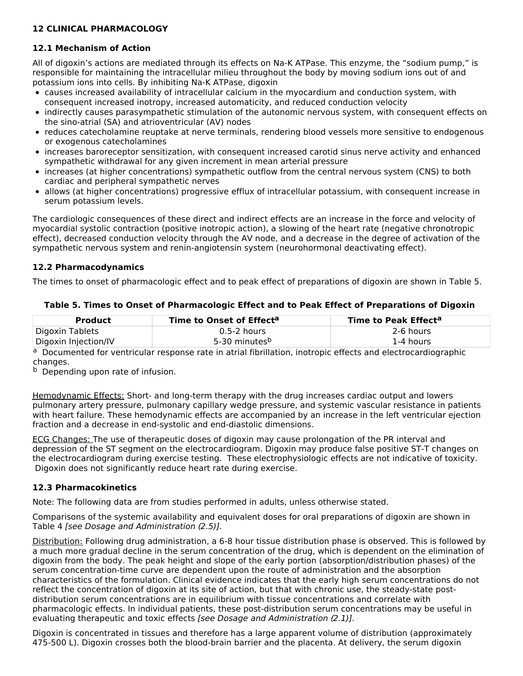## **12 CLINICAL PHARMACOLOGY**

## **12.1 Mechanism of Action**

All of digoxin's actions are mediated through its effects on Na-K ATPase. This enzyme, the "sodium pump," is responsible for maintaining the intracellular milieu throughout the body by moving sodium ions out of and potassium ions into cells. By inhibiting Na-K ATPase, digoxin

- causes increased availability of intracellular calcium in the myocardium and conduction system, with consequent increased inotropy, increased automaticity, and reduced conduction velocity
- indirectly causes parasympathetic stimulation of the autonomic nervous system, with consequent effects on the sino-atrial (SA) and atrioventricular (AV) nodes
- reduces catecholamine reuptake at nerve terminals, rendering blood vessels more sensitive to endogenous or exogenous catecholamines
- increases baroreceptor sensitization, with consequent increased carotid sinus nerve activity and enhanced sympathetic withdrawal for any given increment in mean arterial pressure
- increases (at higher concentrations) sympathetic outflow from the central nervous system (CNS) to both cardiac and peripheral sympathetic nerves
- allows (at higher concentrations) progressive efflux of intracellular potassium, with consequent increase in serum potassium levels.

The cardiologic consequences of these direct and indirect effects are an increase in the force and velocity of myocardial systolic contraction (positive inotropic action), a slowing of the heart rate (negative chronotropic effect), decreased conduction velocity through the AV node, and a decrease in the degree of activation of the sympathetic nervous system and renin-angiotensin system (neurohormonal deactivating effect).

## **12.2 Pharmacodynamics**

The times to onset of pharmacologic effect and to peak effect of preparations of digoxin are shown in Table 5.

| Product              | Time to Onset of Effect <sup>a</sup> | <b>Time to Peak Effect<sup>a</sup></b> |
|----------------------|--------------------------------------|----------------------------------------|
| Digoxin Tablets      | $0.5-2$ hours                        | 2-6 hours                              |
| Digoxin Injection/IV | 5-30 minutes <sup>b</sup>            | 1-4 hours                              |

## **Table 5. Times to Onset of Pharmacologic Effect and to Peak Effect of Preparations of Digoxin**

a Documented for ventricular response rate in atrial fibrillation, inotropic effects and electrocardiographic changes.

**b** Depending upon rate of infusion.

Hemodynamic Effects: Short- and long-term therapy with the drug increases cardiac output and lowers pulmonary artery pressure, pulmonary capillary wedge pressure, and systemic vascular resistance in patients with heart failure. These hemodynamic effects are accompanied by an increase in the left ventricular ejection fraction and a decrease in end-systolic and end-diastolic dimensions.

ECG Changes: The use of therapeutic doses of digoxin may cause prolongation of the PR interval and depression of the ST segment on the electrocardiogram. Digoxin may produce false positive ST-T changes on the electrocardiogram during exercise testing. These electrophysiologic effects are not indicative of toxicity. Digoxin does not significantly reduce heart rate during exercise.

## **12.3 Pharmacokinetics**

Note: The following data are from studies performed in adults, unless otherwise stated.

Comparisons of the systemic availability and equivalent doses for oral preparations of digoxin are shown in Table 4 [see Dosage and Administration (2.5)].

Distribution: Following drug administration, a 6-8 hour tissue distribution phase is observed. This is followed by a much more gradual decline in the serum concentration of the drug, which is dependent on the elimination of digoxin from the body. The peak height and slope of the early portion (absorption/distribution phases) of the serum concentration-time curve are dependent upon the route of administration and the absorption characteristics of the formulation. Clinical evidence indicates that the early high serum concentrations do not reflect the concentration of digoxin at its site of action, but that with chronic use, the steady-state postdistribution serum concentrations are in equilibrium with tissue concentrations and correlate with pharmacologic effects. In individual patients, these post-distribution serum concentrations may be useful in evaluating therapeutic and toxic effects [see Dosage and Administration (2.1)].

Digoxin is concentrated in tissues and therefore has a large apparent volume of distribution (approximately 475-500 L). Digoxin crosses both the blood-brain barrier and the placenta. At delivery, the serum digoxin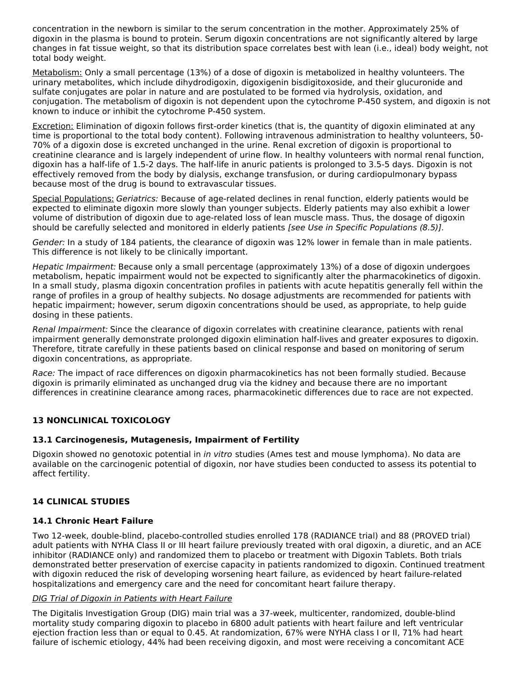concentration in the newborn is similar to the serum concentration in the mother. Approximately 25% of digoxin in the plasma is bound to protein. Serum digoxin concentrations are not significantly altered by large changes in fat tissue weight, so that its distribution space correlates best with lean (i.e., ideal) body weight, not total body weight.

Metabolism: Only a small percentage (13%) of a dose of digoxin is metabolized in healthy volunteers. The urinary metabolites, which include dihydrodigoxin, digoxigenin bisdigitoxoside, and their glucuronide and sulfate conjugates are polar in nature and are postulated to be formed via hydrolysis, oxidation, and conjugation. The metabolism of digoxin is not dependent upon the cytochrome P-450 system, and digoxin is not known to induce or inhibit the cytochrome P-450 system.

Excretion: Elimination of digoxin follows first-order kinetics (that is, the quantity of digoxin eliminated at any time is proportional to the total body content). Following intravenous administration to healthy volunteers, 50- 70% of a digoxin dose is excreted unchanged in the urine. Renal excretion of digoxin is proportional to creatinine clearance and is largely independent of urine flow. In healthy volunteers with normal renal function, digoxin has a half-life of 1.5-2 days. The half-life in anuric patients is prolonged to 3.5-5 days. Digoxin is not effectively removed from the body by dialysis, exchange transfusion, or during cardiopulmonary bypass because most of the drug is bound to extravascular tissues.

Special Populations: Geriatrics: Because of age-related declines in renal function, elderly patients would be expected to eliminate digoxin more slowly than younger subjects. Elderly patients may also exhibit a lower volume of distribution of digoxin due to age-related loss of lean muscle mass. Thus, the dosage of digoxin should be carefully selected and monitored in elderly patients [see Use in Specific Populations (8.5)].

Gender: In a study of 184 patients, the clearance of digoxin was 12% lower in female than in male patients. This difference is not likely to be clinically important.

Hepatic Impairment: Because only a small percentage (approximately 13%) of a dose of digoxin undergoes metabolism, hepatic impairment would not be expected to significantly alter the pharmacokinetics of digoxin. In a small study, plasma digoxin concentration profiles in patients with acute hepatitis generally fell within the range of profiles in a group of healthy subjects. No dosage adjustments are recommended for patients with hepatic impairment; however, serum digoxin concentrations should be used, as appropriate, to help guide dosing in these patients.

Renal Impairment: Since the clearance of digoxin correlates with creatinine clearance, patients with renal impairment generally demonstrate prolonged digoxin elimination half-lives and greater exposures to digoxin. Therefore, titrate carefully in these patients based on clinical response and based on monitoring of serum digoxin concentrations, as appropriate.

Race: The impact of race differences on digoxin pharmacokinetics has not been formally studied. Because digoxin is primarily eliminated as unchanged drug via the kidney and because there are no important differences in creatinine clearance among races, pharmacokinetic differences due to race are not expected.

# **13 NONCLINICAL TOXICOLOGY**

## **13.1 Carcinogenesis, Mutagenesis, Impairment of Fertility**

Digoxin showed no genotoxic potential in in vitro studies (Ames test and mouse lymphoma). No data are available on the carcinogenic potential of digoxin, nor have studies been conducted to assess its potential to affect fertility.

## **14 CLINICAL STUDIES**

## **14.1 Chronic Heart Failure**

Two 12-week, double-blind, placebo-controlled studies enrolled 178 (RADIANCE trial) and 88 (PROVED trial) adult patients with NYHA Class II or III heart failure previously treated with oral digoxin, a diuretic, and an ACE inhibitor (RADIANCE only) and randomized them to placebo or treatment with Digoxin Tablets. Both trials demonstrated better preservation of exercise capacity in patients randomized to digoxin. Continued treatment with digoxin reduced the risk of developing worsening heart failure, as evidenced by heart failure-related hospitalizations and emergency care and the need for concomitant heart failure therapy.

## DIG Trial of Digoxin in Patients with Heart Failure

The Digitalis Investigation Group (DIG) main trial was a 37-week, multicenter, randomized, double-blind mortality study comparing digoxin to placebo in 6800 adult patients with heart failure and left ventricular ejection fraction less than or equal to 0.45. At randomization, 67% were NYHA class I or II, 71% had heart failure of ischemic etiology, 44% had been receiving digoxin, and most were receiving a concomitant ACE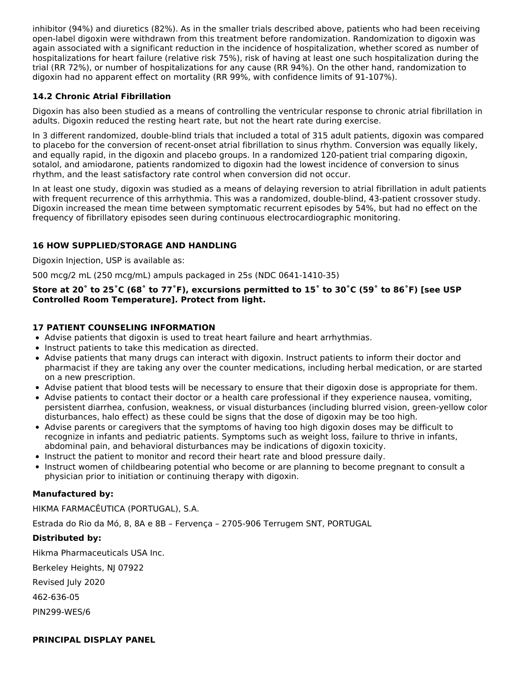inhibitor (94%) and diuretics (82%). As in the smaller trials described above, patients who had been receiving open-label digoxin were withdrawn from this treatment before randomization. Randomization to digoxin was again associated with a significant reduction in the incidence of hospitalization, whether scored as number of hospitalizations for heart failure (relative risk 75%), risk of having at least one such hospitalization during the trial (RR 72%), or number of hospitalizations for any cause (RR 94%). On the other hand, randomization to digoxin had no apparent effect on mortality (RR 99%, with confidence limits of 91-107%).

# **14.2 Chronic Atrial Fibrillation**

Digoxin has also been studied as a means of controlling the ventricular response to chronic atrial fibrillation in adults. Digoxin reduced the resting heart rate, but not the heart rate during exercise.

In 3 different randomized, double-blind trials that included a total of 315 adult patients, digoxin was compared to placebo for the conversion of recent-onset atrial fibrillation to sinus rhythm. Conversion was equally likely, and equally rapid, in the digoxin and placebo groups. In a randomized 120-patient trial comparing digoxin, sotalol, and amiodarone, patients randomized to digoxin had the lowest incidence of conversion to sinus rhythm, and the least satisfactory rate control when conversion did not occur.

In at least one study, digoxin was studied as a means of delaying reversion to atrial fibrillation in adult patients with frequent recurrence of this arrhythmia. This was a randomized, double-blind, 43-patient crossover study. Digoxin increased the mean time between symptomatic recurrent episodes by 54%, but had no effect on the frequency of fibrillatory episodes seen during continuous electrocardiographic monitoring.

## **16 HOW SUPPLIED/STORAGE AND HANDLING**

Digoxin Injection, USP is available as:

500 mcg/2 mL (250 mcg/mL) ampuls packaged in 25s (NDC 0641-1410-35)

#### Store at 20° to 25°C (68° to 77°F), excursions permitted to 15° to 30°C (59° to 86°F) [see USP **Controlled Room Temperature]. Protect from light.**

## **17 PATIENT COUNSELING INFORMATION**

- Advise patients that digoxin is used to treat heart failure and heart arrhythmias.
- Instruct patients to take this medication as directed.
- Advise patients that many drugs can interact with digoxin. Instruct patients to inform their doctor and pharmacist if they are taking any over the counter medications, including herbal medication, or are started on a new prescription.
- Advise patient that blood tests will be necessary to ensure that their digoxin dose is appropriate for them.
- Advise patients to contact their doctor or a health care professional if they experience nausea, vomiting, persistent diarrhea, confusion, weakness, or visual disturbances (including blurred vision, green-yellow color disturbances, halo effect) as these could be signs that the dose of digoxin may be too high.
- Advise parents or caregivers that the symptoms of having too high digoxin doses may be difficult to recognize in infants and pediatric patients. Symptoms such as weight loss, failure to thrive in infants, abdominal pain, and behavioral disturbances may be indications of digoxin toxicity.
- Instruct the patient to monitor and record their heart rate and blood pressure daily.
- Instruct women of childbearing potential who become or are planning to become pregnant to consult a physician prior to initiation or continuing therapy with digoxin.

## **Manufactured by:**

HIKMA FARMACÊUTICA (PORTUGAL), S.A.

Estrada do Rio da Mό, 8, 8A e 8B – Fervença – 2705-906 Terrugem SNT, PORTUGAL

## **Distributed by:**

Hikma Pharmaceuticals USA Inc.

Berkeley Heights, NJ 07922

Revised July 2020

462-636-05

PIN299-WES/6

## **PRINCIPAL DISPLAY PANEL**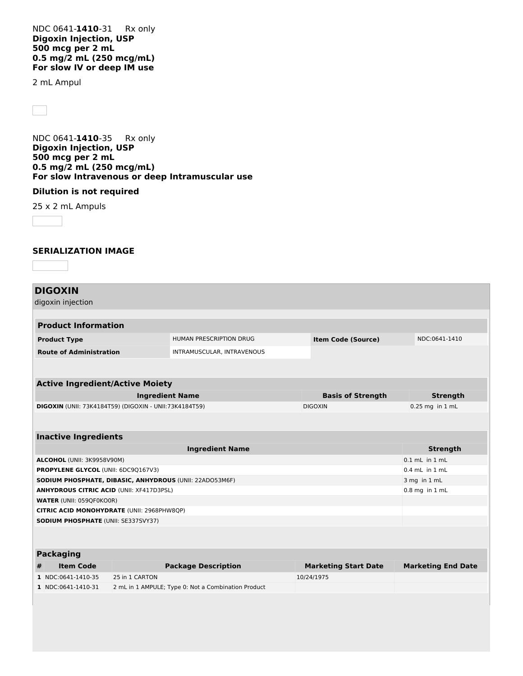NDC 0641-**1410**-31 Rx only **Digoxin Injection, USP 500 mcg per 2 mL 0.5 mg/2 mL (250 mcg/mL) For slow IV or deep IM use**

2 mL Ampul

NDC 0641-**1410**-35 Rx only **Digoxin Injection, USP 500 mcg per 2 mL 0.5 mg/2 mL (250 mcg/mL) For slow Intravenous or deep Intramuscular use**

#### **Dilution is not required**

25 x 2 mL Ampuls

#### **SERIALIZATION IMAGE**

# **DIGOXIN**

|                                                               | digoxin injection                                 |                        |                                                     |                |                             |                           |
|---------------------------------------------------------------|---------------------------------------------------|------------------------|-----------------------------------------------------|----------------|-----------------------------|---------------------------|
|                                                               |                                                   |                        |                                                     |                |                             |                           |
|                                                               | <b>Product Information</b>                        |                        |                                                     |                |                             |                           |
|                                                               | <b>Product Type</b>                               |                        | <b>HUMAN PRESCRIPTION DRUG</b>                      |                | <b>Item Code (Source)</b>   | NDC:0641-1410             |
|                                                               | <b>Route of Administration</b>                    |                        | INTRAMUSCULAR, INTRAVENOUS                          |                |                             |                           |
|                                                               |                                                   |                        |                                                     |                |                             |                           |
|                                                               | <b>Active Ingredient/Active Moiety</b>            |                        |                                                     |                |                             |                           |
|                                                               |                                                   |                        |                                                     |                |                             |                           |
|                                                               |                                                   | <b>Ingredient Name</b> |                                                     |                | <b>Basis of Strength</b>    | <b>Strength</b>           |
| <b>DIGOXIN</b> (UNII: 73K4184T59) (DIGOXIN - UNII:73K4184T59) |                                                   |                        |                                                     | <b>DIGOXIN</b> | 0.25 mg in 1 mL             |                           |
|                                                               |                                                   |                        |                                                     |                |                             |                           |
|                                                               | <b>Inactive Ingredients</b>                       |                        |                                                     |                |                             |                           |
|                                                               |                                                   |                        | <b>Ingredient Name</b>                              |                |                             | <b>Strength</b>           |
|                                                               | ALCOHOL (UNII: 3K9958V90M)                        |                        |                                                     |                |                             | $0.1$ mL in $1$ mL        |
| PROPYLENE GLYCOL (UNII: 6DC9Q167V3)                           |                                                   |                        |                                                     |                |                             | $0.4$ mL in $1$ mL        |
| SODIUM PHOSPHATE, DIBASIC, ANHYDROUS (UNII: 22AD053M6F)       |                                                   |                        |                                                     |                | 3 mg in 1 mL                |                           |
|                                                               | <b>ANHYDROUS CITRIC ACID (UNII: XF417D3PSL)</b>   |                        |                                                     |                |                             | $0.8$ mg in $1$ mL        |
|                                                               | <b>WATER (UNII: 059QF0KO0R)</b>                   |                        |                                                     |                |                             |                           |
|                                                               | <b>CITRIC ACID MONOHYDRATE (UNII: 2968PHW8QP)</b> |                        |                                                     |                |                             |                           |
|                                                               | <b>SODIUM PHOSPHATE (UNII: SE337SVY37)</b>        |                        |                                                     |                |                             |                           |
|                                                               |                                                   |                        |                                                     |                |                             |                           |
|                                                               |                                                   |                        |                                                     |                |                             |                           |
|                                                               | <b>Packaging</b>                                  |                        |                                                     |                |                             |                           |
| #                                                             | <b>Item Code</b>                                  |                        | <b>Package Description</b>                          |                | <b>Marketing Start Date</b> | <b>Marketing End Date</b> |
|                                                               | 1 NDC:0641-1410-35                                | 25 in 1 CARTON         |                                                     |                | 10/24/1975                  |                           |
|                                                               | 1 NDC:0641-1410-31                                |                        | 2 mL in 1 AMPULE; Type 0: Not a Combination Product |                |                             |                           |
|                                                               |                                                   |                        |                                                     |                |                             |                           |